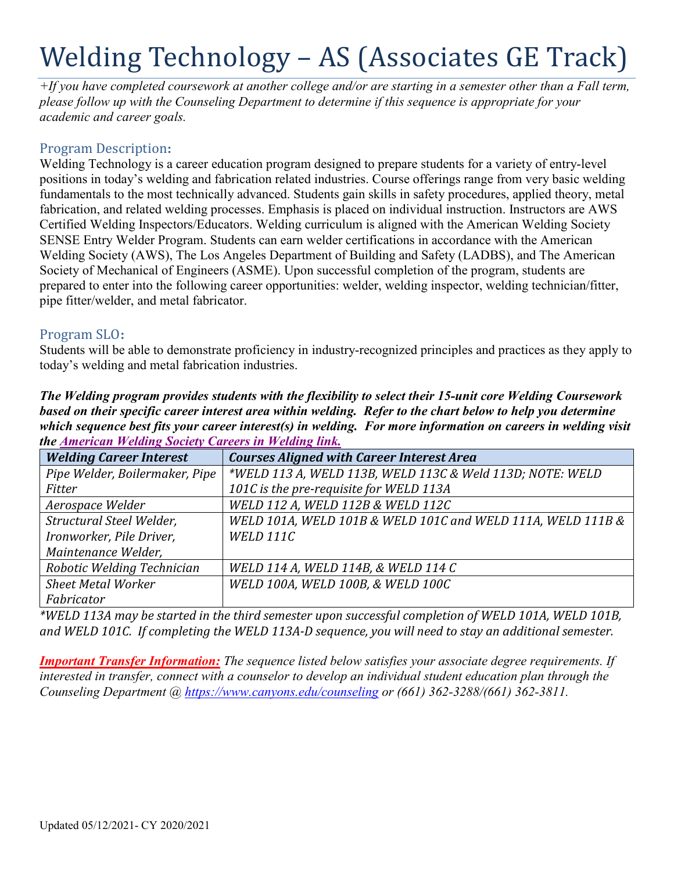# Welding Technology – AS (Associates GE Track)

*+If you have completed coursework at another college and/or are starting in a semester other than a Fall term, please follow up with the Counseling Department to determine if this sequence is appropriate for your academic and career goals.* 

# **Program Description:**

 fabrication, and related welding processes. Emphasis is placed on individual instruction. Instructors are AWS Certified Welding Inspectors/Educators. Welding curriculum is aligned with the American Welding Society Welding Society (AWS), The Los Angeles Department of Building and Safety (LADBS), and The American Society of Mechanical of Engineers (ASME). Upon successful completion of the program, students are Welding Technology is a career education program designed to prepare students for a variety of entry-level positions in today's welding and fabrication related industries. Course offerings range from very basic welding fundamentals to the most technically advanced. Students gain skills in safety procedures, applied theory, metal SENSE Entry Welder Program. Students can earn welder certifications in accordance with the American prepared to enter into the following career opportunities: welder, welding inspector, welding technician/fitter, pipe fitter/welder, and metal fabricator.

# Program SLO:

Program SLO:<br>Students will be able to demonstrate proficiency in industry-recognized principles and practices as they apply to today's welding and metal fabrication industries.

 *which sequence best fits your career interest(s) in welding. For more information on careers in welding visit The Welding program provides students with the flexibility to select their 15-unit core Welding Coursework based on their specific career interest area within welding. Refer to the chart below to help you determine the American Welding Society Careers in Welding link.* 

| <b>Welding Career Interest</b> | <b>Courses Aligned with Career Interest Area</b>            |
|--------------------------------|-------------------------------------------------------------|
| Pipe Welder, Boilermaker, Pipe | *WELD 113 A, WELD 113B, WELD 113C & Weld 113D; NOTE: WELD   |
| Fitter                         | 101C is the pre-requisite for WELD 113A                     |
| Aerospace Welder               | WELD 112 A, WELD 112B & WELD 112C                           |
| Structural Steel Welder,       | WELD 101A, WELD 101B & WELD 101C and WELD 111A, WELD 111B & |
| Ironworker, Pile Driver,       | <b>WELD 111C</b>                                            |
| Maintenance Welder,            |                                                             |
| Robotic Welding Technician     | WELD 114 A, WELD 114B, & WELD 114 C                         |
| <b>Sheet Metal Worker</b>      | WELD 100A, WELD 100B, & WELD 100C                           |
| Fabricator                     |                                                             |

 *and WELD 101C. If completing the WELD 113A-D sequence, you will need to stay an additional semester. \*WELD 113A may be started in the third semester upon successful completion of WELD 101A, WELD 101B,* 

*Important Transfer Information: The sequence listed below satisfies your associate degree requirements. If interested in transfer, connect with a counselor to develop an individual student education plan through the Counseling Department @<https://www.canyons.edu/counseling> or (661) 362-3288/(661) 362-3811.*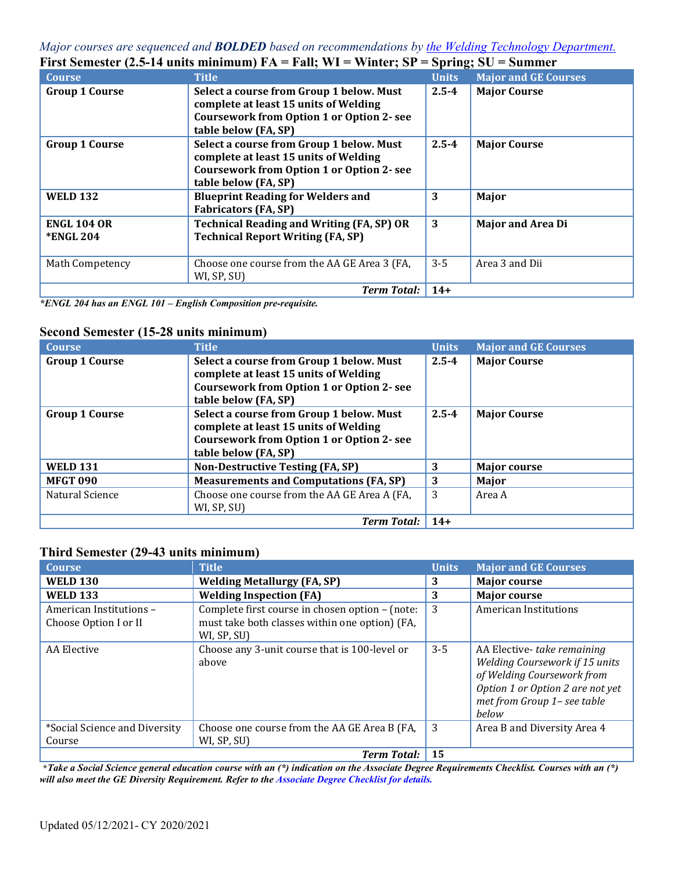#### *Major courses are sequenced and BOLDED based on recommendations by the Welding Technology Department.*  **First Semester (2.5-14 units minimum) FA = Fall; WI = Winter; SP = Spring; SU = Summer**

| <b>Course</b>                          | <b>Title</b>                                                                                                                                                  | <b>Units</b> | <b>Major and GE Courses</b> |
|----------------------------------------|---------------------------------------------------------------------------------------------------------------------------------------------------------------|--------------|-----------------------------|
| <b>Group 1 Course</b>                  | Select a course from Group 1 below. Must<br>complete at least 15 units of Welding<br><b>Coursework from Option 1 or Option 2- see</b><br>table below (FA, SP) | $2.5 - 4$    | <b>Major Course</b>         |
| <b>Group 1 Course</b>                  | Select a course from Group 1 below. Must<br>complete at least 15 units of Welding<br><b>Coursework from Option 1 or Option 2- see</b><br>table below (FA, SP) | $2.5 - 4$    | <b>Major Course</b>         |
| <b>WELD 132</b>                        | <b>Blueprint Reading for Welders and</b><br><b>Fabricators (FA, SP)</b>                                                                                       | 3            | Major                       |
| <b>ENGL 104 OR</b><br><b>*ENGL 204</b> | <b>Technical Reading and Writing (FA, SP) OR</b><br><b>Technical Report Writing (FA, SP)</b>                                                                  | 3            | <b>Major and Area Di</b>    |
| Math Competency                        | Choose one course from the AA GE Area 3 (FA,<br>WI, SP, SU)                                                                                                   | $3 - 5$      | Area 3 and Dii              |
|                                        | <b>Term Total:</b>                                                                                                                                            | $14+$        |                             |

 *\*ENGL 204 has an ENGL 101 – English Composition pre-requisite.* 

#### **Second Semester (15-28 units minimum)**

| <b>Course</b>         | <b>Title</b>                                                                                                                                                  | <b>Units</b> | <b>Major and GE Courses</b> |
|-----------------------|---------------------------------------------------------------------------------------------------------------------------------------------------------------|--------------|-----------------------------|
| <b>Group 1 Course</b> | Select a course from Group 1 below. Must<br>complete at least 15 units of Welding<br><b>Coursework from Option 1 or Option 2- see</b><br>table below (FA, SP) | $2.5 - 4$    | <b>Major Course</b>         |
| <b>Group 1 Course</b> | Select a course from Group 1 below. Must<br>complete at least 15 units of Welding<br><b>Coursework from Option 1 or Option 2- see</b><br>table below (FA, SP) | $2.5 - 4$    | <b>Major Course</b>         |
| <b>WELD 131</b>       | <b>Non-Destructive Testing (FA, SP)</b>                                                                                                                       | 3            | <b>Major course</b>         |
| <b>MFGT 090</b>       | <b>Measurements and Computations (FA, SP)</b>                                                                                                                 | 3            | Major                       |
| Natural Science       | Choose one course from the AA GE Area A (FA,<br>WI, SP, SU)                                                                                                   | 3            | Area A                      |
|                       | <b>Term Total:</b>                                                                                                                                            | $14+$        |                             |

#### **Third Semester (29-43 units minimum)**

| <b>Course</b>                                    | <b>Title</b>                                                                                                     | <b>Units</b> | <b>Major and GE Courses</b>                                                                                                                                                    |
|--------------------------------------------------|------------------------------------------------------------------------------------------------------------------|--------------|--------------------------------------------------------------------------------------------------------------------------------------------------------------------------------|
| <b>WELD 130</b>                                  | <b>Welding Metallurgy (FA, SP)</b>                                                                               | 3            | <b>Major course</b>                                                                                                                                                            |
| <b>WELD 133</b>                                  | <b>Welding Inspection (FA)</b>                                                                                   | 3            | <b>Major course</b>                                                                                                                                                            |
| American Institutions -<br>Choose Option I or II | Complete first course in chosen option - (note:<br>must take both classes within one option) (FA,<br>WI, SP, SU) | 3            | <b>American Institutions</b>                                                                                                                                                   |
| AA Elective                                      | Choose any 3-unit course that is 100-level or<br>above                                                           | $3 - 5$      | AA Elective- take remaining<br><b>Welding Coursework if 15 units</b><br>of Welding Coursework from<br>Option 1 or Option 2 are not yet<br>met from Group 1- see table<br>below |
| *Social Science and Diversity<br>Course          | Choose one course from the AA GE Area B (FA,<br>WI, SP, SU)                                                      | 3            | Area B and Diversity Area 4                                                                                                                                                    |
|                                                  | <b>Term Total:</b>                                                                                               | 15           |                                                                                                                                                                                |

**\****Take a Social Science general education course with an (\*) indication on the Associate Degree Requirements Checklist. Courses with an (\*) will also meet the GE Diversity Requirement. Refer to the Associate Degree Checklist for details.*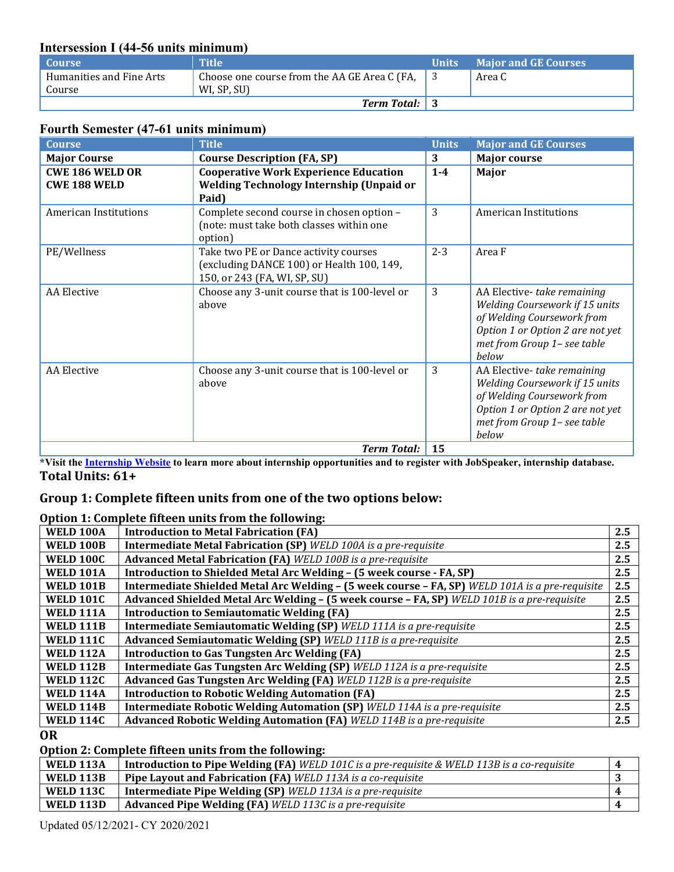# **Intersession I (44-56 units minimum)**

| Course                   | <b>Title</b>                                 | <b>Units</b> | <b>Major and GE Courses</b> |
|--------------------------|----------------------------------------------|--------------|-----------------------------|
| Humanities and Fine Arts | Choose one course from the AA GE Area C (FA, |              | Area C                      |
| Course                   | WI, SP, SU)                                  |              |                             |
|                          | <b>Term Total:</b> 3                         |              |                             |

# **Fourth Semester (47-61 units minimum)**

| <b>Course</b>                                 | <b>Title</b>                                                                                                       | <b>Units</b> | <b>Major and GE Courses</b>                                                                                                                                                   |
|-----------------------------------------------|--------------------------------------------------------------------------------------------------------------------|--------------|-------------------------------------------------------------------------------------------------------------------------------------------------------------------------------|
| <b>Major Course</b>                           | <b>Course Description (FA, SP)</b>                                                                                 | 3            | <b>Major course</b>                                                                                                                                                           |
| <b>CWE 186 WELD OR</b><br><b>CWE 188 WELD</b> | <b>Cooperative Work Experience Education</b><br>Welding Technology Internship (Unpaid or<br>Paid)                  | $1-4$        | Major                                                                                                                                                                         |
| <b>American Institutions</b>                  | Complete second course in chosen option -<br>(note: must take both classes within one<br>option)                   | 3            | <b>American Institutions</b>                                                                                                                                                  |
| PE/Wellness                                   | Take two PE or Dance activity courses<br>(excluding DANCE 100) or Health 100, 149,<br>150, or 243 (FA, WI, SP, SU) | $2 - 3$      | Area F                                                                                                                                                                        |
| <b>AA</b> Elective                            | Choose any 3-unit course that is 100-level or<br>above                                                             | 3            | AA Elective-take remaining<br>Welding Coursework if 15 units<br>of Welding Coursework from<br>Option 1 or Option 2 are not yet<br>met from Group 1- see table<br>below        |
| <b>AA</b> Elective                            | Choose any 3-unit course that is 100-level or<br>above                                                             | 3            | AA Elective-take remaining<br><b>Welding Coursework if 15 units</b><br>of Welding Coursework from<br>Option 1 or Option 2 are not yet<br>met from Group 1- see table<br>below |
|                                               | <b>Term Total:</b>                                                                                                 | 15           |                                                                                                                                                                               |

**\*Visit the Internship Website to learn more about internship opportunities and to register with JobSpeaker, internship database. Total Units: 61+** 

# **Group 1: Complete fifteen units from one of the two options below:**

#### **Option 1: Complete fifteen units from the following:**

| <b>WELD 100A</b> | <b>Introduction to Metal Fabrication (FA)</b>                                                   | 2.5 |
|------------------|-------------------------------------------------------------------------------------------------|-----|
| <b>WELD 100B</b> | <b>Intermediate Metal Fabrication (SP)</b> WELD 100A is a pre-requisite                         | 2.5 |
| <b>WELD 100C</b> | <b>Advanced Metal Fabrication (FA)</b> WELD 100B is a pre-requisite                             | 2.5 |
| <b>WELD 101A</b> | Introduction to Shielded Metal Arc Welding - (5 week course - FA, SP)                           | 2.5 |
| <b>WELD 101B</b> | Intermediate Shielded Metal Arc Welding - (5 week course - FA, SP) WELD 101A is a pre-requisite | 2.5 |
| <b>WELD 101C</b> | Advanced Shielded Metal Arc Welding - (5 week course - FA, SP) WELD 101B is a pre-requisite     | 2.5 |
| <b>WELD 111A</b> | <b>Introduction to Semiautomatic Welding (FA)</b>                                               | 2.5 |
| <b>WELD 111B</b> | Intermediate Semiautomatic Welding (SP) WELD 111A is a pre-requisite                            | 2.5 |
| <b>WELD 111C</b> | Advanced Semiautomatic Welding (SP) WELD 111B is a pre-requisite                                | 2.5 |
| <b>WELD 112A</b> | <b>Introduction to Gas Tungsten Arc Welding (FA)</b>                                            | 2.5 |
| <b>WELD 112B</b> | Intermediate Gas Tungsten Arc Welding (SP) WELD 112A is a pre-requisite                         | 2.5 |
| <b>WELD 112C</b> | Advanced Gas Tungsten Arc Welding (FA) WELD 112B is a pre-requisite                             | 2.5 |
| <b>WELD 114A</b> | <b>Introduction to Robotic Welding Automation (FA)</b>                                          | 2.5 |
| <b>WELD 114B</b> | Intermediate Robotic Welding Automation (SP) WELD 114A is a pre-requisite                       | 2.5 |
| <b>WELD 114C</b> | <b>Advanced Robotic Welding Automation (FA)</b> WELD 114B is a pre-requisite                    | 2.5 |

**OR** 

# **Option 2: Complete fifteen units from the following:**

| <b>WELD 113A</b> | Introduction to Pipe Welding (FA) WELD 101C is a pre-requisite & WELD 113B is a co-requisite | $\boldsymbol{\varLambda}$ |
|------------------|----------------------------------------------------------------------------------------------|---------------------------|
| <b>WELD 113B</b> | Pipe Layout and Fabrication (FA) WELD 113A is a co-requisite                                 |                           |
| <b>WELD 113C</b> | <b>Intermediate Pipe Welding (SP)</b> WELD 113A is a pre-requisite                           |                           |
| <b>WELD 113D</b> | <b>Advanced Pipe Welding (FA)</b> WELD 113C is a pre-requisite                               |                           |